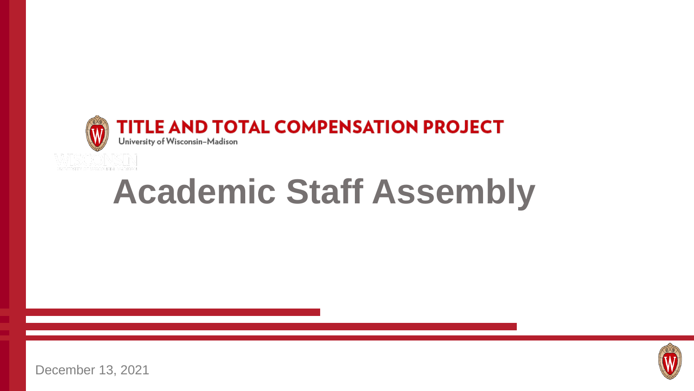

# **Academic Staff Assembly**



December 13, 2021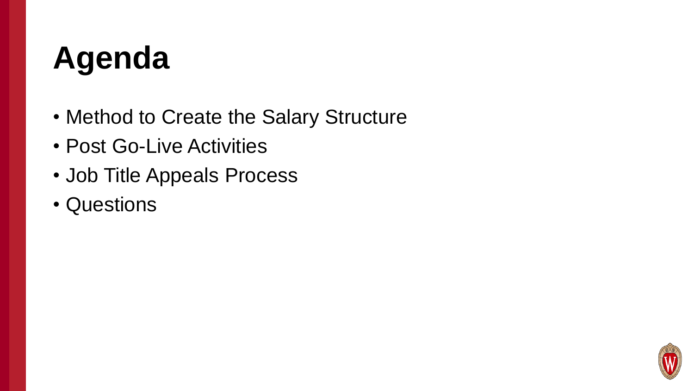### **Agenda**

- Method to Create the Salary Structure
- Post Go-Live Activities
- Job Title Appeals Process
- Questions

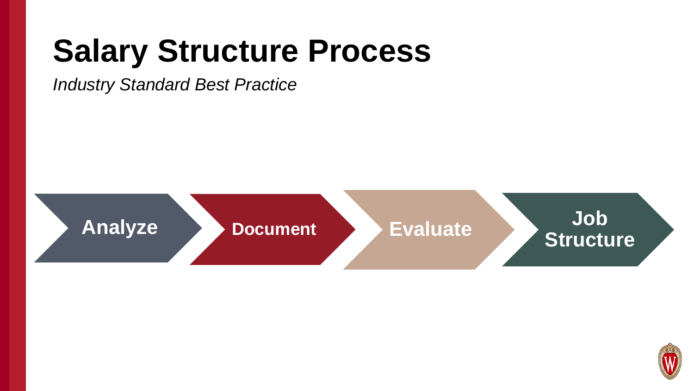### **Salary Structure Process**

#### *Industry Standard Best Practice*



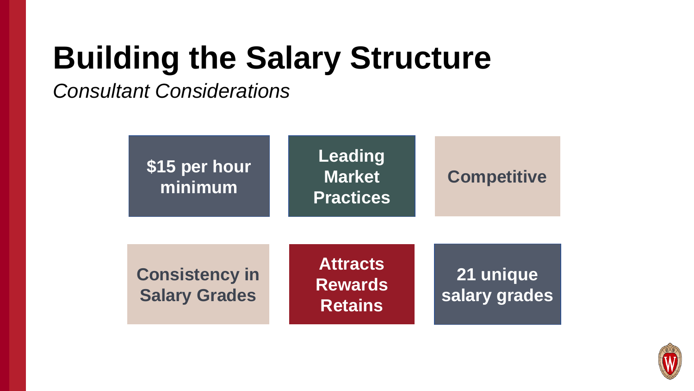### **Building the Salary Structure**

*Consultant Considerations* 



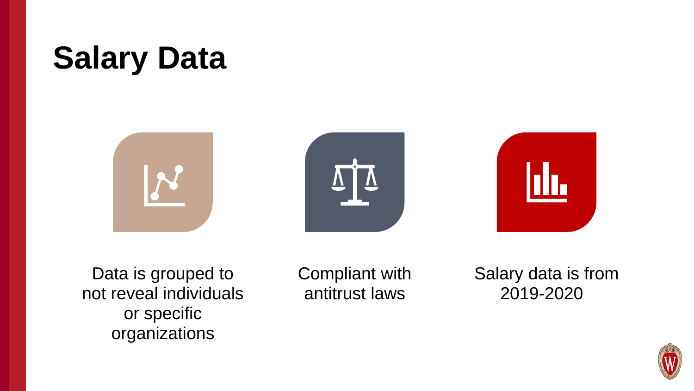### **Salary Data**







Data is grouped to not reveal individuals or specific organizations

Compliant with antitrust laws

Salary data is from 2019-2020

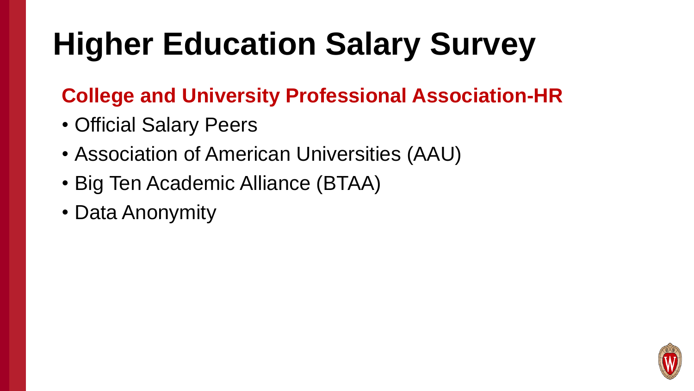### **Higher Education Salary Survey**

### **College and University Professional Association-HR**

- Official Salary Peers
- Association of American Universities (AAU)
- Big Ten Academic Alliance (BTAA)
- Data Anonymity

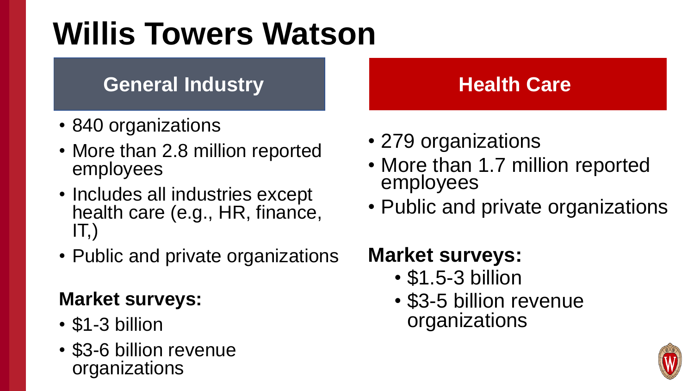### **Willis Towers Watson**

#### **General Industry Care Realth Care**

- 840 organizations
- More than 2.8 million reported employees
- Includes all industries except health care (e.g., HR, finance,  $IT,$
- Public and private organizations

#### **Market surveys:**

- \$1-3 billion
- \$3-6 billion revenue organizations

- 279 organizations
- More than 1.7 million reported employees
- Public and private organizations

#### **Market surveys:**

- \$1.5-3 billion
- \$3-5 billion revenue organizations

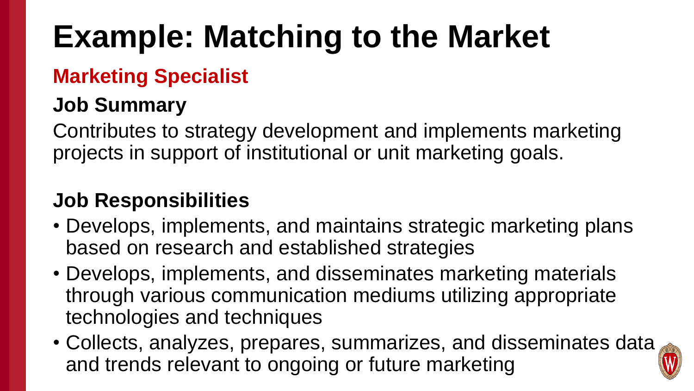### **Example: Matching to the Market**

#### **Marketing Specialist**

#### **Job Summary**

Contributes to strategy development and implements marketing projects in support of institutional or unit marketing goals.

#### **Job Responsibilities**

- Develops, implements, and maintains strategic marketing plans based on research and established strategies
- Develops, implements, and disseminates marketing materials through various communication mediums utilizing appropriate technologies and techniques
- Collects, analyzes, prepares, summarizes, and disseminates data and trends relevant to ongoing or future marketing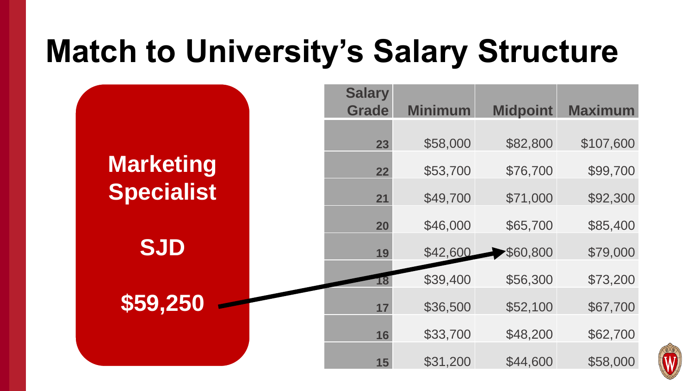### **Match to University's Salary Structure**

|                   | <b>Salary</b><br><b>Grade</b> | <b>Minimum</b> | <b>Midpoint</b> | <b>Maximum</b> |
|-------------------|-------------------------------|----------------|-----------------|----------------|
|                   | 23                            | \$58,000       | \$82,800        | \$107,600      |
| <b>Marketing</b>  | 22                            | \$53,700       | \$76,700        | \$99,700       |
| <b>Specialist</b> | 21                            | \$49,700       | \$71,000        | \$92,300       |
|                   | 20                            | \$46,000       | \$65,700        | \$85,400       |
| <b>SJD</b>        | 19                            | \$42,600       | \$60,800        | \$79,000       |
|                   |                               | \$39,400       | \$56,300        | \$73,200       |
| \$59,250          | 17                            | \$36,500       | \$52,100        | \$67,700       |
|                   | 16                            | \$33,700       | \$48,200        | \$62,700       |
|                   | 15                            | \$31,200       | \$44,600        | \$58,000       |

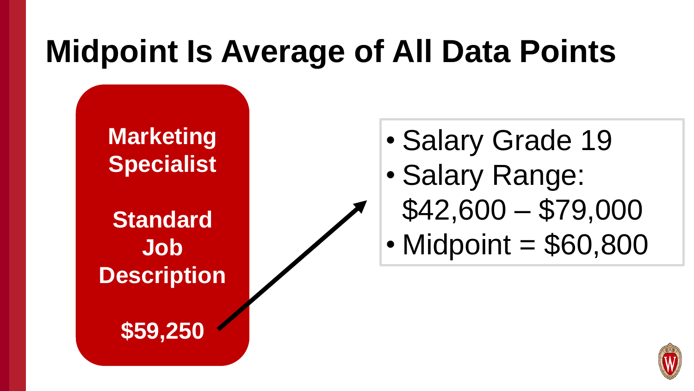### **Midpoint Is Average of All Data Points**

**Marketing Specialist**

**Standard Job Description**

**\$59,250**

- Salary Grade 19
- Salary Range:
	- \$42,600 \$79,000
- Midpoint = \$60,800

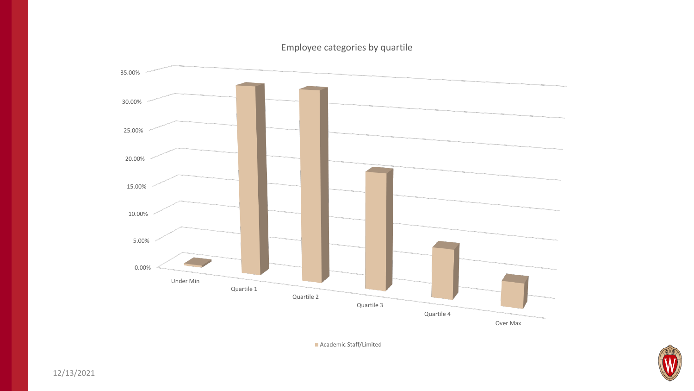#### Employee categories by quartile



**Academic Staff/Limited** 

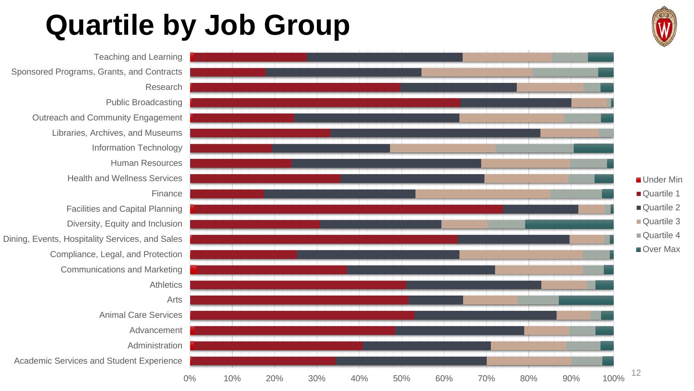### **Quartile by Job Group**

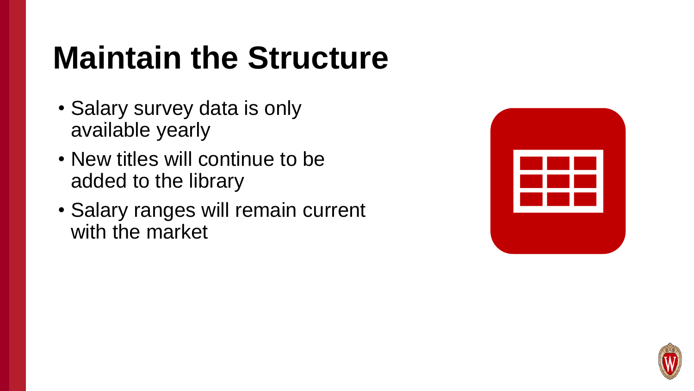### **Maintain the Structure**

- Salary survey data is only available yearly
- New titles will continue to be added to the library
- Salary ranges will remain current with the market

| <u>na ma</u><br><u> Barat Barat Barat Barat Barat Barat Barat Barat Barat Barat Barat Barat Barat Barat Barat Barat Barat Barat Barat Barat Barat Barat Barat Barat Barat Barat Barat Barat Barat Barat Barat Barat Barat Barat Barat Barat Bara</u> |  |
|------------------------------------------------------------------------------------------------------------------------------------------------------------------------------------------------------------------------------------------------------|--|
| a shekara                                                                                                                                                                                                                                            |  |
|                                                                                                                                                                                                                                                      |  |

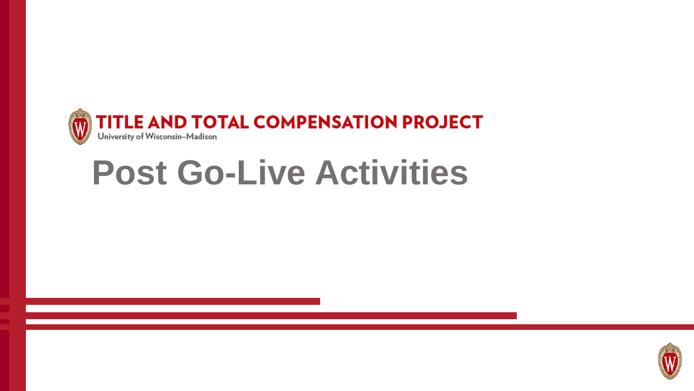

### **Post Go-Live Activities**

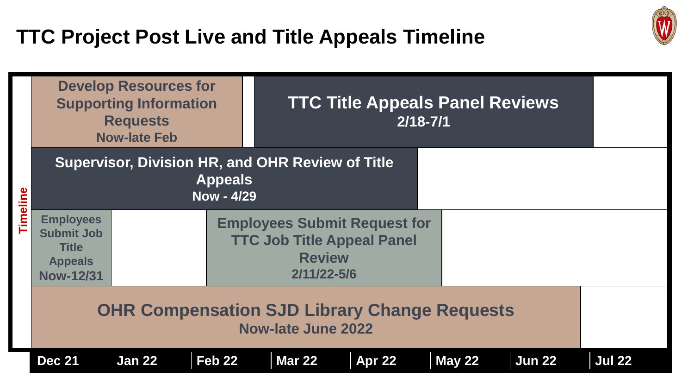#### **TTC Project Post Live and Title Appeals Timeline**

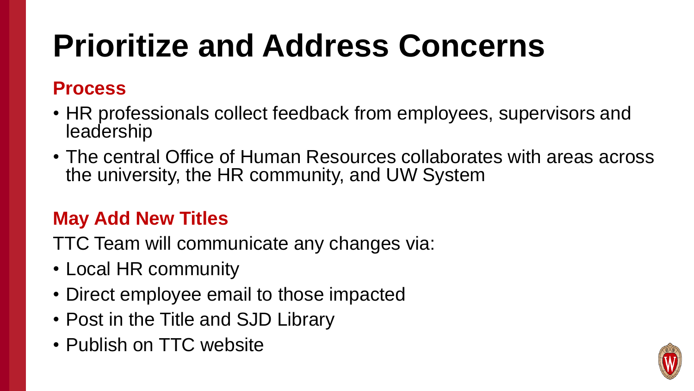### **Prioritize and Address Concerns**

#### **Process**

- HR professionals collect feedback from employees, supervisors and leadership
- The central Office of Human Resources collaborates with areas across the university, the HR community, and UW System

#### **May Add New Titles**

TTC Team will communicate any changes via:

- Local HR community
- Direct employee email to those impacted
- Post in the Title and SJD Library
- Publish on TTC website

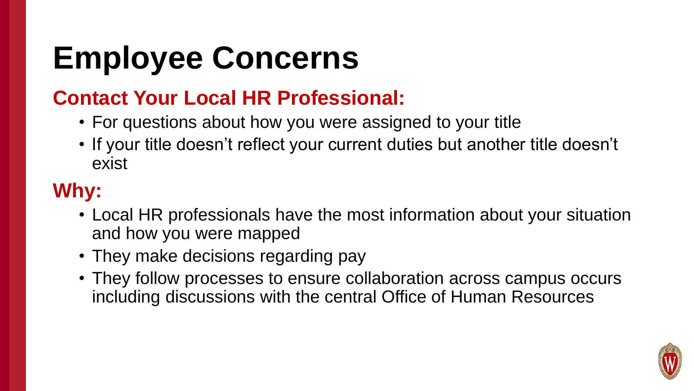### **Employee Concerns**

#### **Contact Your Local HR Professional:**

- For questions about how you were assigned to your title
- If your title doesn't reflect your current duties but another title doesn't exist

### **Why:**

- Local HR professionals have the most information about your situation and how you were mapped
- They make decisions regarding pay
- They follow processes to ensure collaboration across campus occurs including discussions with the central Office of Human Resources

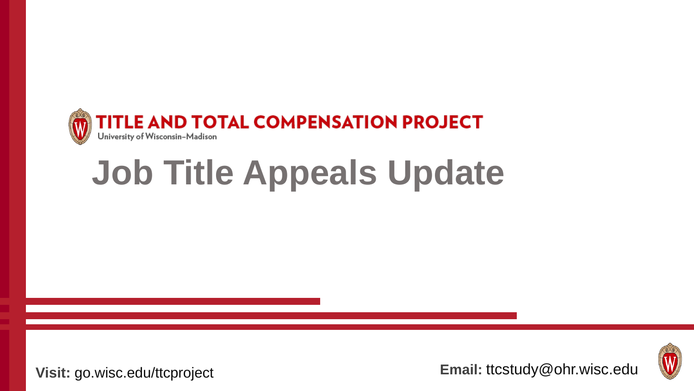

## **Job Title Appeals Update**



**Visit:** go.wisc.edu/ttcproject **Email:** ttcstudy@ohr.wisc.edu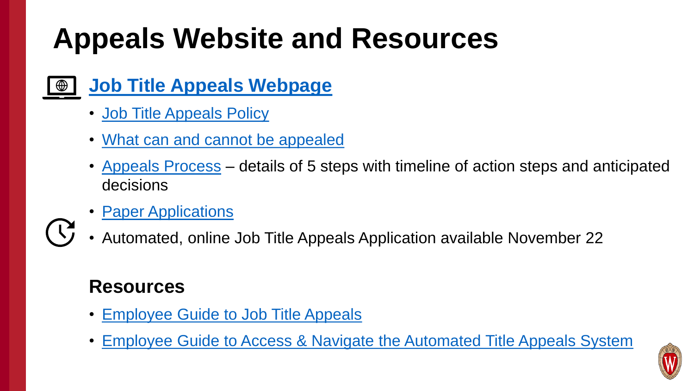### **Appeals Website and Resources**

- **[Job Title Appeals Webpage](https://hr.wisc.edu/title-and-total-compensation-study/appeals/)**  $\bigoplus$ 
	- [Job Title Appeals Policy](https://hr.wisc.edu/docs/ttc-job-title-appeals-policy.pdf)
	- [What can and cannot be appealed](https://hr.wisc.edu/title-and-total-compensation-study/appeals/#what-can-and-cannot-be-appealed)
	- [Appeals Process](https://hr.wisc.edu/title-and-total-compensation-study/appeals/#appeals-process) details of 5 steps with timeline of action steps and anticipated decisions
	- **[Paper Applications](https://hr.wisc.edu/title-and-total-compensation-study/wp-content/uploads/sites/11/2021/11/Job-Title-Appeals-Application.pdf)**
	- Automated, online Job Title Appeals Application available November 22

#### **Resources**

- [Employee Guide to Job Title Appeals](https://hr.wisc.edu/title-and-total-compensation-study/wp-content/uploads/sites/11/2021/11/Employee-Guide-to-Job-Title-Appeals.pdf)
- [Employee Guide to Access & Navigate the Automated Title Appeals System](https://hr.wisc.edu/title-and-total-compensation-study/wp-content/uploads/sites/11/2021/11/Employee-Guide-to-Access-the-Title-Appeals-System.pdf)

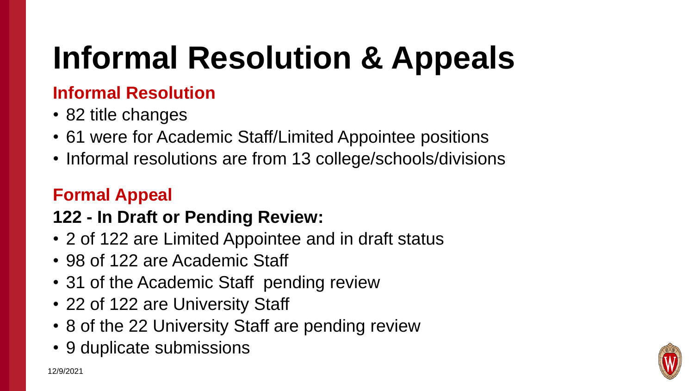## **Informal Resolution & Appeals**

#### **Informal Resolution**

- 82 title changes
- 61 were for Academic Staff/Limited Appointee positions
- Informal resolutions are from 13 college/schools/divisions

#### **Formal Appeal**

#### **122 - In Draft or Pending Review:**

- 2 of 122 are Limited Appointee and in draft status
- 98 of 122 are Academic Staff
- 31 of the Academic Staff pending review
- 22 of 122 are University Staff
- 8 of the 22 University Staff are pending review
- 9 duplicate submissions

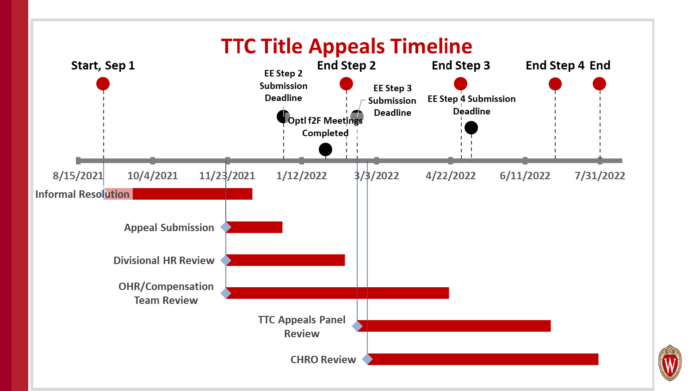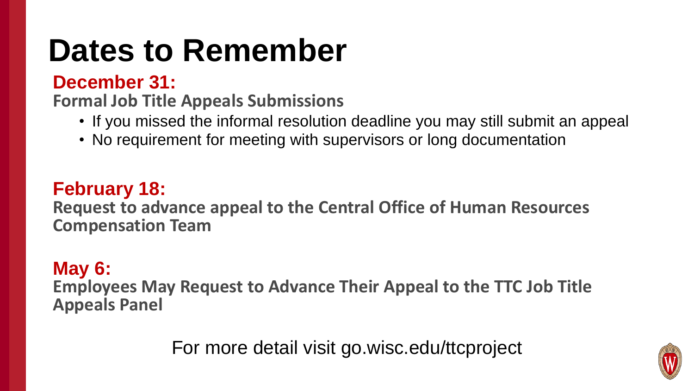### **Dates to Remember**

#### **December 31:**

**Formal Job Title Appeals Submissions** 

- If you missed the informal resolution deadline you may still submit an appeal
- No requirement for meeting with supervisors or long documentation

#### **February 18:**

**Request to advance appeal to the Central Office of Human Resources Compensation Team** 

#### **May 6:**

**Employees May Request to Advance Their Appeal to the TTC Job Title Appeals Panel**

For more detail visit go.wisc.edu/ttcproject

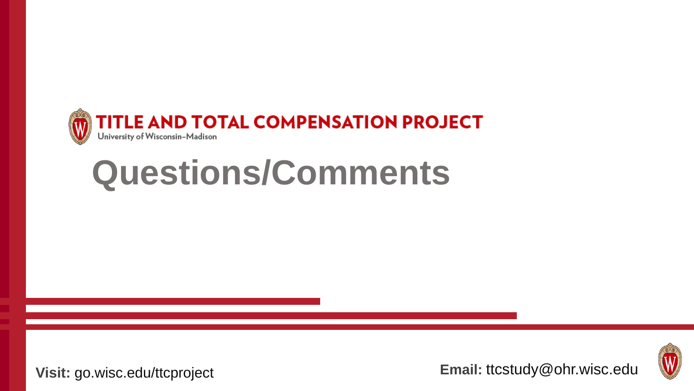

### **Questions/Comments**



**Visit:** go.wisc.edu/ttcproject **Email:** ttcstudy@ohr.wisc.edu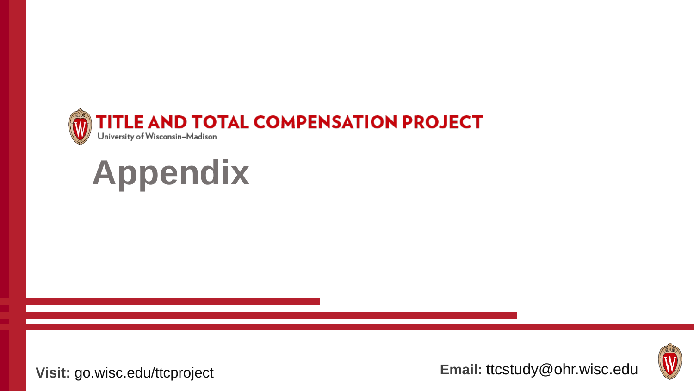

## **Appendix**



**Visit:** go.wisc.edu/ttcproject **Email:** ttcstudy@ohr.wisc.edu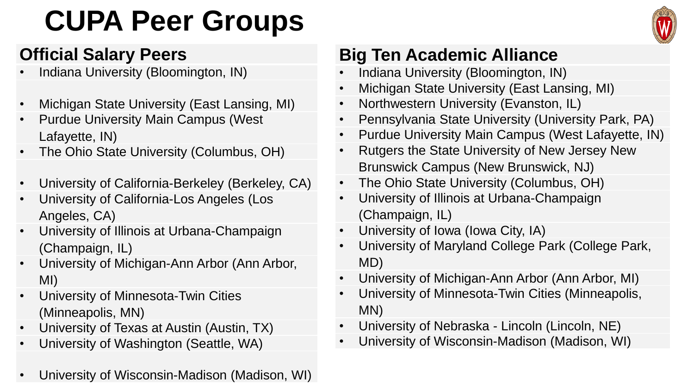### **CUPA Peer Groups**



#### **Official Salary Peers**

- Indiana University (Bloomington, IN)
- Michigan State University (East Lansing, MI)
- Purdue University Main Campus (West Lafayette, IN)
- The Ohio State University (Columbus, OH)
- University of California-Berkeley (Berkeley, CA)
- University of California-Los Angeles (Los Angeles, CA)
- University of Illinois at Urbana-Champaign (Champaign, IL)
- University of Michigan-Ann Arbor (Ann Arbor, MI)
- University of Minnesota-Twin Cities (Minneapolis, MN)
- University of Texas at Austin (Austin, TX)
- University of Washington (Seattle, WA)
- University of Wisconsin-Madison (Madison, WI)

#### **Big Ten Academic Alliance**

- Indiana University (Bloomington, IN)
- Michigan State University (East Lansing, MI)
- Northwestern University (Evanston, IL)
- Pennsylvania State University (University Park, PA)
- Purdue University Main Campus (West Lafayette, IN)
- Rutgers the State University of New Jersey New Brunswick Campus (New Brunswick, NJ)
- The Ohio State University (Columbus, OH)
- University of Illinois at Urbana-Champaign (Champaign, IL)
- University of Iowa (Iowa City, IA)
- University of Maryland College Park (College Park, MD)
- University of Michigan-Ann Arbor (Ann Arbor, MI)
- University of Minnesota-Twin Cities (Minneapolis, MN)
- University of Nebraska Lincoln (Lincoln, NE)
- University of Wisconsin-Madison (Madison, WI)